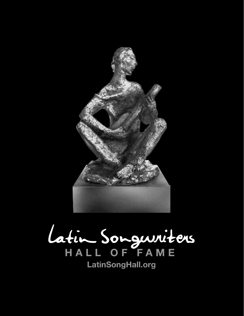

Latin Songwriters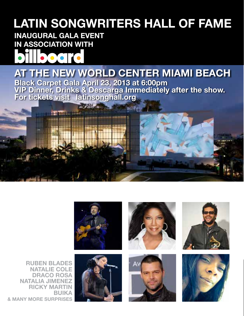## **LATIN SONGWRITERS HALL OF FAME**

### **INAUGURAL GALA EVENT IN ASSOCIATION WITH**



### **Black Carpet Gala April 23, 2013 at 6:00pm AT THE NEW WORLD CENTER MIAMI BEACH**

**VIP Dinner, Drinks & Descarga Immediately after the show. For tickets visit latinsonghall.org**

**BUT AT** 



**POSTAL A** 









**RUBEN BLADES NATALIE COLE DRACO ROSA NATALIA JIMENEZ RICKY MARTIN BUIKA & MANY MORE SURPRISES**

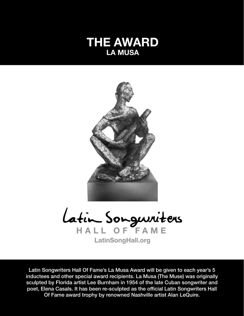



Latin Songwriters Hall Of Fame's La Musa Award will be given to each year's 5 inductees and other special award recipients. La Musa (The Muse) was originally sculpted by Florida artist Lee Burnham in 1954 of the late Cuban songwriter and poet, Elena Casals. It has been re-sculpted as the official Latin Songwriters Hall Of Fame award trophy by renowned Nashville artist Alan LeQuire.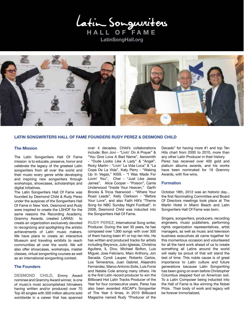Latin Songwriters



### **LATIN SONGWRITERS HALL OF FAME FOUNDERS RUDY PEREZ & DESMOND CHILD**

### **The Mission**

The Latin Songwriters Hall Of Fame mission is to educate, preserve, honor and celebrate the legacy of the greatest Latin songwriters from all over the world and their music every genre while developing and inspiring new songwriters through workshops, showcases, scholarships and digital initiatives.

The Latin Songwriters Hall Of Fame was founded by Desmond Child & Rudy Perez under the auspices of the Songwriters Hall Of Fame in New York. Desmond and Rudy were inspired to create the LSHOF for the same reasons the Recording Academy, Grammy Awards, created LARAS: to create an organization exclusively devoted to recognizing and spotlighting the artistic achievements of Latin music makers. We have plans to create an interactive Museum and traveling exhibits to reach communities all over the world. We will also offer showcases, workshops, master classes, virtual songwriting courses as well as an international songwriting contest.

### **The Founders**

**DESMOND CHILD**, Emmy Award nominee and Grammy Award winner, is one of music's most accomplished hitmakers having written and/or produced over 70 Top 40 singles with 300 million albums sold worldwide in a career that has spanned

over 4 decades. Child's collaborations include: Bon Jovi - "Livin' On A Prayer" & "You Give Love A Bad Name", Aerosmith - "Dude Looks Like A Lady" & "Angel", Ricky Martin - "Livin' La Vida Loca" & "La Copa De La Vida", Katy Perry - "Waking Up In Vegas," KISS - "I Was Made For Lovin' You", Cher - "Just Like Jesse James", Alice Cooper - "Poison", Carrie Underwood "Inside Your Heaven," Garth Brooks & Tricia Yearwood - "Where Your Road Leads", Kelly Clarkson - "Before Your Love", and also Faith Hill's "Theme Song for NBC Sunday Night Football". In 2008, Desmond Child was inducted into the Songwriters Hall Of Fame.

**RUDY PEREZ**, International Song writer, Producer. During the last 30 years, he has composed over 1,000 songs with over 300 of them having been #1 or top ten hits. He has written and produced tracks for artists including Beyonce, Julio Iglesias, Christina Aguilera, IL Divo, Michael Bolton, Luis Miguel, Jose Feliciano, Marc Anthony, Jon Secada, Cyndi Lauper, Roberto Carlos, Los Temerarios, Juan Gabriel, Alejandro Fernandez, Marco Antonio Solis, Luis Fonsi and Natalie Cole among many others. He is the first Latin record producer to win the Billboard Hot Latin Tracks Producer of the Year for four consecutive years. Perez has also been awarded ASCAP's Songwriter of The Year 5 times. In 2010 Billboard Magazine named Rudy "Producer of the

Decade" for having more #1 and top Ten Hits chart from 2000 to 2010, more than any other Latin Producer in their history. Perez has received over 400 gold and platium albums awards, and his works have been nominated for 19 Grammy Awards, with five wins.

#### **Formation**

October 18th, 2012 was an historic day... the first Nominating Committee and Board Of Directors meetings took place at The Marlin Hotel in Miami Beach and Latin Songwriters Hall Of Fame was born.

Singers, songwriters, producers, recording engineers, music publishers, performing rights organization representatives, artist managers, as well as music and television business executives all came together for this momentous occasion and volunteered for all the hard work ahead of us to create something all Latins around the world will really be proud of that will stand the test of time. This noble cause is of great importance to Latin culture and future generations because Latin Songwriting has been going on even before Christopher Columbus stepped foot on American soil. To a Latin Composer being inducted into the Hall of Fame is like winning the Nobel Prize. Their body of work and legacy will be forever immortalized.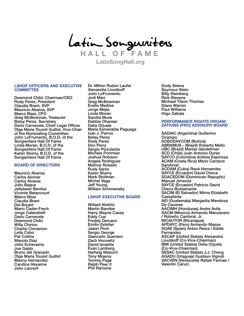Latin Songwriters

### **LSHOF OFFICERS AND EXECUTIVE COMMITTEE**

Desmond Child, Chairman/CEO Rudy Perez, President Claudia Brant, SVP Mauricio Abaroa, SVP Marco Bissi, CFO Greg McBowman, Treasurer Betsy Perez, Secretary Dario Carnevale, Chief Legal Officer Olga Maria Touzet Guillot, Vice-Chair of the Nominating Committee John LoFrumento, B.O.D. of the Songwriters Hall Of Fame Linda Moran, B.O.D. of the Songwriters Hall Of Fame Karen Sherry, B.O.D. of the Songwriters Hall Of Fame

### **BOARD OF DIRECTORS**

Mauricio Abaroa Carlos Alomar Carlos Alvarez Julio Bague Jellybean Benitez Vicente Betancourt Marco Bissi Claudia Brant Del Bryant Mario Cader-Frech Jorge Calandrelli Dario Carnevale Desmond Child Willy Chirino Charlie Cinnamon Leila Cobo Pat Collins Manolo Diaz John Echevarria Joe Galdo Bruno del Granado Olga Maria Touzet Guillot Manny Hernandez Candice Heyaime John Lannert

Dr. Milton Ruben Laufer Alexandra Lioutikoff John LoFrumento Jodi Marr Greg McBowman Evelio Medina Jorge Mejia Linda Moran Sandra Muss Debbie Ohanian Delia Orjuela Maria Esmeralda Paguaga Ivan J. Parron Betsy Perez Rudy Perez Don Perry Sergio Pizzolante Michele Pommier Joshua Robison Angela Rodriguez Marlow Rosado Rudy Sarzo Karen Sherry Mark Stollman Michel Vega Jeff Young William Schimensky

#### **LSHOF EXECUTIVE BOARD**

Willard Ahdritz Martin Bandier Harry Wayne Casey Eddy Cue Freddy Demann Emilio Estefan Jason Flom Sergio George Giancarlo Guerrero Zach Horowitz David Israelite Evan Lamberg Hartwig Masuch Tony Mojena Tommy Page Ralph Peer II Phil Ramone

Dody Sirena Seymour Stein Billy Steinberg Rick Stevens Michael Tilson Thomas Diane Warren Paul Williams Iñigo Zabala

#### **PERFORMANCE RIGHTS ORGANI ZATIONS (PRO) ADVISORY BOARD**

SADAIC (Argentina) Guillermo Ocampo SOBODAYCOM (Bolivia) ABRAMUS - (Brazil) Roberto Mello UBC (Brazil) Marisa Gandelman SCD (Chile) Juan Antonio Duran SAYCO (Colombia) Andres Espinosa ACAM (Costa Rica) Mario Campos Sandoval ACDAM (Cuba) René Hernandez SAYCE (Ecuador) David Checa SGACEDOM (Dominican Repuplic) Manuel Jimenez SAYCE (Ecuador) Patricio David Checa Bustamante SACIM (El Salvador) Mirna Elizabeth Castañeda AEI (Guatemala) Margarita Mendoza De Caceres AACIMH (Honduras) Andre Avila SACM (Mexico) Armando Manzanero / Roberto Cantoral, Jr. NICAUTOR (Nicaragua) APDAYC (Peru) Armando Masse SGAE (Spain) Anton Reixa / Eddie Fernandez ASCAP (United States) Alexandra Lioutikoff (Co-Vice-Chairman) BMI (United States) Delia Orjuela (Co-Vice-Chairman) SESAC (United States) J.J. Cheng AGADU (Uraguay) Gustavo Vignoli SACVEN (Venezuela) Rafael Farinas / Valentin Caruci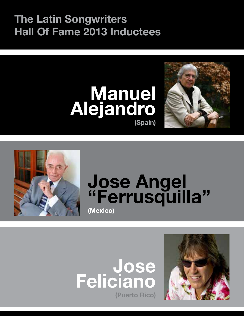### **The Latin Songwriters Hall Of Fame 2013 Inductees**







## **Jose Angel "Ferrusquilla" (Mexico)**



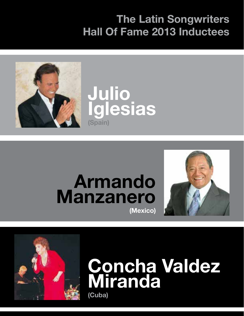### **The Latin Songwriters Hall Of Fame 2013 Inductees**





## **Armando Manzanero (Mexico)**





# **Concha Valdez Miranda**

**(Cuba)**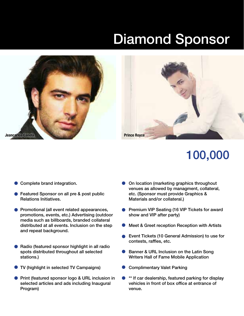# Diamond Sponsor



- Complete brand integration.
- Featured Sponsor on all pre & post public Relations Initiatives.
- **Promotional (all event related appearances,** promotions, events, etc.) Advertising (outdoor media such as billboards, branded collateral distributed at all events. Inclusion on the step and repeat background.
- Radio (featured sponsor highlight in all radio spots distributed throughout all selected stations.)
- TV (highlight in selected TV Campaigns)
- **Print (featured sponsor logo & URL inclusion in** selected articles and ads including Inaugural Program)
- On location (marketing graphics throughout venues as allowed by managment, collateral, etc. (Sponsor must provide Graphics & Materials and/or collateral.)
- Premium VIP Seating (16 VIP Tickets for award  $\bullet$ show and VIP after party)
- Meet & Greet reception Reception with Artists
- Event Tickets (10 General Admission) to use for contests, raffles, etc.
- Banner & URL Inclusion on the Latin Song Writers Hall of Fame Mobile Application
- Complimentary Valet Parking
- \*\* If car dealership, featured parking for display vehicles in front of box office at entrance of venue.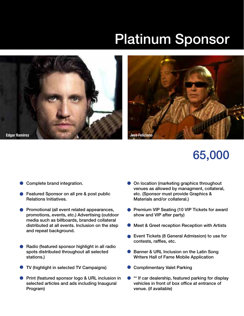## Platinum Sponsor





- Complete brand integration.
- Featured Sponsor on all pre & post public Relations Initiatives.
- Promotional (all event related appearances, promotions, events, etc.) Advertising (outdoor media such as billboards, branded collateral distributed at all events. Inclusion on the step and repeat background.
- Radio (featured sponsor highlight in all radio spots distributed throughout all selected stations.)
- TV (highlight in selected TV Campaigns)
- $\bullet$ Print (featured sponsor logo & URL inclusion in selected articles and ads including Inaugural Program)
- **On location (marketing graphics throughout** venues as allowed by managment, collateral, etc. (Sponsor must provide Graphics & Materials and/or collateral.)
- Premium VIP Seating (10 VIP Tickets for award  $\bullet$ show and VIP after party)
- Meet & Greet reception Reception with Artists
- Event Tickets (8 General Admission) to use for contests, raffles, etc.
- Banner & URL Inclusion on the Latin Song Writers Hall of Fame Mobile Application
- Complimentary Valet Parking
- \*\* If car dealership, featured parking for display vehicles in front of box office at entrance of venue. (if available)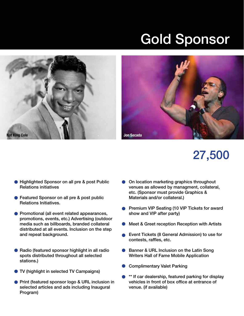## Gold Sponsor





- **Highlighted Sponsor on all pre & post Public** Relations initiatives
- Featured Sponsor on all pre & post public Relations Initiatives.
- **Promotional (all event related appearances,** promotions, events, etc.) Advertising (outdoor media such as billboards, branded collateral distributed at all events. Inclusion on the step and repeat background.
- Radio (featured sponsor highlight in all radio spots distributed throughout all selected stations.)
- TV (highlight in selected TV Campaigns)
- **Print (featured sponsor logo & URL inclusion in** selected articles and ads including Inaugural Program)
- On location marketing graphics throughout venues as allowed by managment, collateral, etc. (Sponsor must provide Graphics & Materials and/or collateral.)
- **Premium VIP Seating (10 VIP Tickets for award** show and VIP after party)
- Meet & Greet reception Reception with Artists
- Event Tickets (8 General Admission) to use for contests, raffles, etc.
- $\bullet$ Banner & URL Inclusion on the Latin Song Writers Hall of Fame Mobile Application
- Complimentary Valet Parking
- \*\* If car dealership, featured parking for display vehicles in front of box office at entrance of venue. (if available)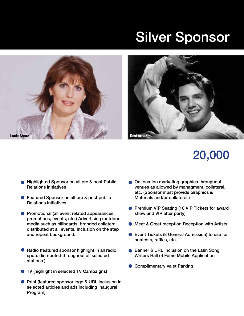## Silver Sponsor





- **Highlighted Sponsor on all pre & post Public** Relations initiatives
- Featured Sponsor on all pre & post public Relations Initiatives.
- **Promotional (all event related appearances,** promotions, events, etc.) Advertising (outdoor media such as billboards, branded collateral distributed at all events. Inclusion on the step and repeat background.
- Radio (featured sponsor highlight in all radio spots distributed throughout all selected stations.)
- TV (highlight in selected TV Campaigns)
- **Print (featured sponsor logo & URL inclusion in** selected articles and ads including Inaugural Program)
- **On location marketing graphics throughout** venues as allowed by managment, collateral, etc. (Sponsor must provide Graphics & Materials and/or collateral.)
- **Premium VIP Seating (10 VIP Tickets for award** show and VIP after party)
- Meet & Greet reception Reception with Artists
- Event Tickets (8 General Admission) to use for contests, raffles, etc.
- Banner & URL Inclusion on the Latin Song Writers Hall of Fame Mobile Application
- Complimentary Valet Parking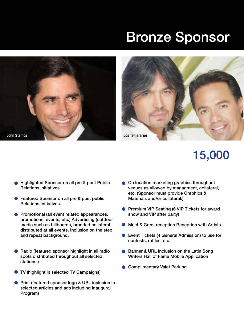## Bronze Sponsor





- Highlighted Sponsor on all pre & post Public Relations initiatives
- Featured Sponsor on all pre & post public Relations Initiatives.
- **Promotional (all event related appearances,** promotions, events, etc.) Advertising (outdoor media such as billboards, branded collateral distributed at all events. Inclusion on the step and repeat background.
- Radio (featured sponsor highlight in all radio spots distributed throughout all selected stations.)
- TV (highlight in selected TV Campaigns)
- **Print (featured sponsor logo & URL inclusion in** selected articles and ads including Inaugural Program)
- **On location marketing graphics throughout** venues as allowed by managment, collateral, etc. (Sponsor must provide Graphics & Materials and/or collateral.)
- **Premium VIP Seating (6 VIP Tickets for award** show and VIP after party)
- Meet & Greet reception Reception with Artists
- Event Tickets (4 General Admission) to use for  $\bullet$ contests, raffles, etc.
- Banner & URL Inclusion on the Latin Song Writers Hall of Fame Mobile Application
- **Complimentary Valet Parking**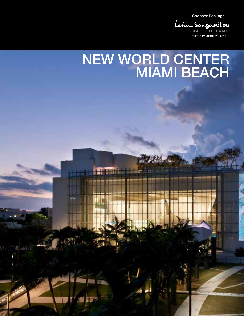Sponsor Package

**TUESDAY, APRIL 23, 2013** Latin Songwriters

## NEW WORLD CENTER MIAMI BEACH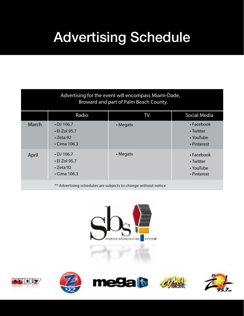# Advertising Schedule

| Advertising for the event will encompass Miami-Dade,<br>Broward and part of Palm Beach County. |                                                                                  |          |                                                           |
|------------------------------------------------------------------------------------------------|----------------------------------------------------------------------------------|----------|-----------------------------------------------------------|
|                                                                                                | Radio                                                                            | TV       | <b>Social Media</b>                                       |
| March                                                                                          | $\cdot$ DJ 106.7<br>$\cdot$ El Zol 95.7<br>$\cdot$ Zeta 92<br>$\cdot$ Cima 106.3 | • Megaty | • Facebook<br>• Twitter<br>$\cdot$ YouTube<br>• Pinterest |
| April                                                                                          | $\cdot$ DJ 106.7<br>$\cdot$ El Zol 95.7<br>$\cdot$ Zeta 92<br>$\cdot$ Cima 106.3 | • Megaty | • Facebook<br>• Twitter<br>$\cdot$ YouTube<br>• Pinterest |
| ** Advertising schedules are subjects to change without notice                                 |                                                                                  |          |                                                           |